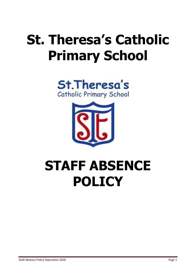# **St. Theresa's Catholic Primary School**





## **STAFF ABSENCE POLICY**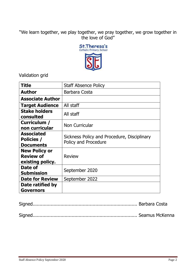## "We learn together, we play together, we pray together, we grow together in the love of God"



Validation grid

| <b>Title</b>                                                 | <b>Staff Absence Policy</b>                                         |
|--------------------------------------------------------------|---------------------------------------------------------------------|
| <b>Author</b>                                                | Barbara Costa                                                       |
| <b>Associate Author</b>                                      |                                                                     |
| <b>Target Audience</b>                                       | All staff                                                           |
| <b>Stake holders</b><br>consulted                            | All staff                                                           |
| Curriculum /<br>non curricular                               | Non Curricular                                                      |
| <b>Associated</b><br><b>Policies /</b><br><b>Documents</b>   | Sickness Policy and Procedure, Disciplinary<br>Policy and Procedure |
| <b>New Policy or</b><br><b>Review of</b><br>existing policy. | <b>Review</b>                                                       |
| Date of<br><b>Submission</b>                                 | September 2020                                                      |
| <b>Date for Review</b>                                       | September 2022                                                      |
| Date ratified by                                             |                                                                     |
| <b>Governors</b>                                             |                                                                     |

|--|--|--|

Signed........................................................................... Seamus McKenna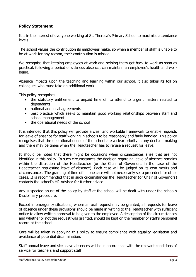## **Policy Statement**

It is in the interest of everyone working at St. Theresa's Primary School to maximise attendance levels.

The school values the contribution its employees make, so when a member of staff is unable to be at work for any reason, their contribution is missed.

We recognise that keeping employees at work and helping them get back to work as soon as practical, following a period of sickness absence, can maintain an employee's health and wellbeing.

Absence impacts upon the teaching and learning within our school, it also takes its toll on colleagues who must take on additional work.

This policy recognises:

- the statutory entitlement to unpaid time off to attend to urgent matters related to dependants
- national and local agreements
- best practice which seeks to maintain good working relationships between staff and school management
- the operational needs of the school

It is intended that this policy will provide a clear and workable framework to enable requests for leave of absence for staff working in schools to be reasonably and fairly handled. This policy recognises that the operational needs of the school are a clear priority in any decision making and there may be times when the Headteacher has to refuse a request for leave.

It should be noted that there might be occasions when circumstances arise that are not identified in this policy. In such circumstances the decision regarding leave of absence remains within the discretion of the Headteacher (or the Chair of Governors in the case of the Headteacher requesting leave of absence). Each case will be judged on its own merits and circumstances. The granting of time off in one case will not necessarily set a precedent for other cases. It is recommended that in such circumstances the Headteacher (or Chair of Governors) contacts the school's HR Advisor for further advice.

Any suspected abuse of the policy by staff at the school will be dealt with under the school's Disciplinary procedure.

Except in emergency situations, where an oral request may be granted, all requests for leave of absence under these provisions should be made in writing to the Headteacher with sufficient notice to allow written approval to be given to the employee. A description of the circumstances and whether or not the request was granted, should be kept on the member of staff's personnel record at the school.

Care will be taken in applying this policy to ensure compliance with equality legislation and avoidance of potential discrimination.

Staff annual leave and sick leave absences will be in accordance with the relevant conditions of service for teachers and support staff.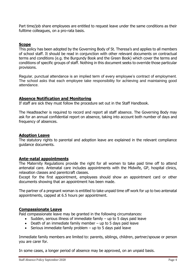Part time/job share employees are entitled to request leave under the same conditions as their fulltime colleagues, on a pro-rata basis.

## **Scope**

This policy has been adopted by the Governing Body of St. Theresa's and applies to all members of school staff. It should be read in conjunction with other relevant documents on contractual terms and conditions (e.g. the Burgundy Book and the Green Book) which cover the terms and conditions of specific groups of staff. Nothing in this document seeks to override those particular provisions.

Regular, punctual attendance is an implied term of every employee's contract of employment. The school asks that each employee take responsibility for achieving and maintaining good attendance.

## **Absence Notification and Monitoring**

If staff are sick they must follow the procedure set out in the Staff Handbook.

The Headteacher is required to record and report all staff absence. The Governing Body may ask for an annual confidential report on absence, taking into account both number of days and frequency of absences.

## **Adoption Leave**

The statutory rights to parental and adoption leave are explained in the relevant compliance guidance documents.

## **Ante-natal appointments**

The Maternity Regulations provide the right for all women to take paid time off to attend antenatal care. Antenatal care includes appointments with the Midwife, GP, hospital clinics, relaxation classes and parentcraft classes.

Except for the first appointment, employees should show an appointment card or other documents showing that an appointment has been made.

The partner of a pregnant woman is entitled to take unpaid time off work for up to two antenatal appointments, capped at 6.5 hours per appointment.

#### **Compassionate Leave**

Paid compassionate leave may be granted in the following circumstances:

- $\bullet$  Sudden, serious illness of immediate family  $-$  up to 5 days paid leave
- $\bullet$  Death of an immediate family member up to 5 days paid leave
- Serious immediate family problem up to 5 days paid leave

Immediate family members are limited to: parents, siblings, children, partner/spouse or person you are carer for.

In some cases, a longer period of absence may be approved, on an unpaid basis.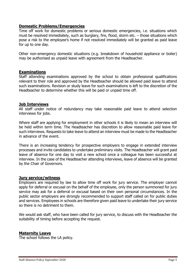#### **Domestic Problems/Emergencies**

Time off work for domestic problems or serious domestic emergencies, i.e. situations which must be resolved immediately, such as burglary, fire, flood, storm etc. – those situations which pose a risk to the employee's home if not resolved immediately will be granted as paid leave for up to one day.

Other non-emergency domestic situations (e.g. breakdown of household appliance or boiler) may be authorised as unpaid leave with agreement from the Headteacher.

## **Examinations**

Staff attending examinations approved by the school to obtain professional qualifications relevant to their role and approved by the Headteacher should be allowed paid leave to attend such examinations. Revision or study leave for such examinations is left to the discretion of the Headteacher to determine whether this will be paid or unpaid time off.

#### **Job Interviews**

All staff under notice of redundancy may take reasonable paid leave to attend selection interviews for jobs.

Where staff are applying for employment in other schools it is likely to mean an interview will be held within term time. The Headteacher has discretion to allow reasonable paid leave for such interviews. Requests to take leave to attend an interview must be made to the Headteacher in advance of the event.

There is an increasing tendency for prospective employers to engage in extended interview processes and invite candidates to undertake preliminary visits. The Headteacher will grant paid leave of absence for one day to visit a new school once a colleague has been successful at interview. In the case of the Headteacher attending interviews, leave of absence will be granted by the Chair of Governors.

#### **Jury service/witness**

Employers are required by law to allow time off work for jury service. The employer cannot apply for deferral or excusal on the behalf of the employee, only the person summoned for jury service may ask for a deferral or excusal based on their own personal circumstances. In the public sector employers are strongly recommended to support staff called on for public duties and services. Employees in schools are therefore given paid leave to undertake their jury service so there is no detriment to them.

We would ask staff, who have been called for jury service, to discuss with the Headteacher the suitability of timing before accepting the request.

#### **Maternity Leave**

The school follows the LA policy.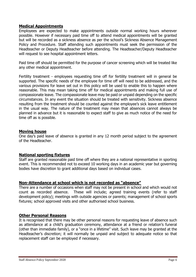## **Medical Appointments**

Employees are expected to make appointments outside normal working hours wherever possible. However if necessary paid time off to attend medical appointments will be granted but will be recorded as a sickness absence as per the school's Sickness Absence Management Policy and Procedure. Staff attending such appointments must seek the permission of the Headteacher or Deputy Headteacher before attending. The Headteacher/Deputy Headteacher will request to see hospital appointment letters.

Paid time off should be permitted for the purpose of cancer screening which will be treated like any other medical appointment.

Fertility treatment - employees requesting time off for fertility treatment will in general be supported. The specific needs of the employee for time off will need to be addressed, and the various provisions for leave set out in this policy will be used to enable this to happen where reasonable. This may mean taking time off for medical appointments and making full use of compassionate leave. The compassionate leave may be paid or unpaid depending on the specific circumstances. In any event the situation should be treated with sensitivity. Sickness absence resulting from the treatment should be counted against the employee's sick leave entitlement in the usual way. The nature of the treatment may mean that absences cannot always be planned in advance but it is reasonable to expect staff to give as much notice of the need for time off as is possible.

#### **Moving house**

One day's paid leave of absence is granted in any 12 month period subject to the agreement of the Headteacher.

## **National sporting fixtures**

Staff are granted reasonable paid time off where they are a national representative in sporting event. This is recommended not to exceed 10 working days in an academic year but governing bodies have discretion to grant additional days based on individual cases.

## **Non-Attendance at school which is not recorded as "absence"**

There are a number of occasions when staff may not be present in school and which would not count as recorded absence. These will include; agreed training events (refer to staff development policy); meetings with outside agencies or parents; management of school sports fixtures; school approved visits and other authorised school business.

#### **Other Personal Reasons**

It is recognised that there may be other personal reasons for requesting leave of absence such as attendance at a child's graduation ceremony, attendance at a friend or relation's funeral (other than immediate family), or a "once in a lifetime" visit. Such leave may be granted at the Headteacher's discretion; it will normally be unpaid and subject to adequate notice so that replacement staff can be employed if necessary.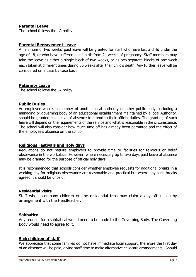## **Parental Leave**

The school follows the LA policy.

#### **Parental Bereavement Leave**

A minimum of two weeks' paid leave will be granted for staff who have lost a child under the age of 18, or who have suffered a still birth from 24 weeks of pregnancy. Staff members may take the leave as either a single block of two weeks, or as two separate blocks of one week each taken at different times during 56 weeks after their child's death. Any further leave will be considered on a case by case basis.

#### **Paternity Leave**

The school follows the LA policy.

#### **Public Duties**

An employee who is a member of another local authority or other public body, including a managing or governing body of an educational establishment maintained by a local Authority, should be granted paid leave of absence to attend to their official duties. The granting of such leave will depend on the requirements of the service and what is reasonable in the circumstance. The school will also consider how much time off has already been permitted and the effect of the employee's absence on the school.

#### **Religious Festivals and Holy days**

Regulations do not require employers to provide time or facilities for religious or belief observance in the workplace. However, where necessary up to two days paid leave of absence may be granted for the purpose of official holy days.

It is recommended that schools consider whether employee requests for additional breaks in a working day for religious observance are reasonable and practical but where any such breaks agreed it should be unpaid.

#### **Residential Visits**

Staff who accompany children on the residential trips may claim a day off in lieu by arrangement with the Headteacher.

#### **Sabbatical**

Any request for a sabbatical would need to be made to the Governing Body. The Governing Body would need to agree to it.

#### **Sick children of staff**

We appreciate that some families do not have immediate local support, therefore the first day of an absence will be paid, giving staff time to make alternative childcare arrangements. Should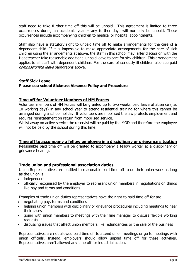staff need to take further time off this will be unpaid. This agreement is limited to three occurrences during an academic year – any further days will normally be unpaid. These occurrences include accompanying children to medical or hospital appointments.

Staff also have a statutory right to unpaid time off to make arrangements for the care of a dependent child. If it is impossible to make appropriate arrangements for the care of sick children using the arrangements at above, the staff in this school may, after discussion with the Headteacher take reasonable additional unpaid leave to care for sick children. This arrangement applies to all staff with dependent children. For the care of seriously ill children also see paid compassionate leave paragraphs above.

## **Staff Sick Leave**

## **Please see school Sickness Absence Policy and Procedure**

## **Time off for Volunteer Members of HM Forces**

Volunteer members of HM Forces will be granted up to two weeks' paid leave of absence (i.e. 10 working days) in any school year to attend residential training for where this cannot be arranged during a school holiday. If volunteers are mobilised the law protects employment and requires reinstatement on return from mobilised service.

Whilst away on active service the reservist will be paid by the MOD and therefore the employee will not be paid by the school during this time.

## **Time off to accompany a fellow employee in a disciplinary or grievance situation**

Reasonable paid time off will be granted to accompany a fellow worker at a disciplinary or grievance hearing.

## **Trade union and professional association duties**

Union Representatives are entitled to reasonable paid time off to do their union work as long as the union is:

- independent
- officially recognised by the employer to represent union members in negotiations on things like pay and terms and conditions

Examples of trade union duties representatives have the right to paid time off for are:

- negotiating pay, terms and conditions
- helping union members with disciplinary or grievance procedures including meetings to hear their cases
- going with union members to meetings with their line manager to discuss flexible working requests
- discussing issues that affect union members like redundancies or the sale of the business

Representatives are not allowed paid time off to attend union meetings or go to meetings with union officials. Instead, employers should allow unpaid time off for these activities. Representatives aren't allowed any time off for industrial action.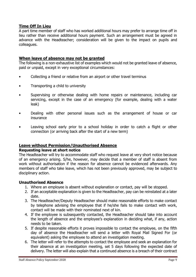## **Time Off In Lieu**

A part time member of staff who has worked additional hours may prefer to arrange time off in lieu rather than receive additional hours payment. Such an arrangement must be agreed in advance with the Headteacher; consideration will be given to the impact on pupils and colleagues.

## **When leave of absence may not be granted**

The following is a non-exhaustive list of examples which would not be granted leave of absence, paid or unpaid, except in very exceptional circumstances:

- Collecting a friend or relative from an airport or other travel terminus
- Transporting a child to university
- Supervising or otherwise dealing with home repairs or maintenance, including car servicing, except in the case of an emergency (for example, dealing with a water leak)
- Dealing with other personal issues such as the arrangement of house or car insurance
- Leaving school early prior to a school holiday in order to catch a flight or other connection (or arriving back after the start of a new term)

## **Leave without Permission/Unauthorised Absence**

#### **Requesting leave at short notice**

The Headteacher will try to accommodate staff who request leave at very short notice because of an emergency arising. S/he, however, may decide that a member of staff is absent from work without authorisation if the reason for absence cannot be evidenced afterwards. Any members of staff who take leave, which has not been previously approved, may be subject to disciplinary action.

#### **Unauthorised Absence**

- 1. Where an employee is absent without explanation or contact, pay will be stopped.
- 2. If an acceptable explanation is given to the Headteacher, pay can be reinstated at a later date.
- 3. The Headteacher/Deputy Headteacher should make reasonable efforts to make contact by telephone advising the employee that if he/she fails to make contact with work, contact will be made with their nominated next of kin.
- 4. If the employee is subsequently contacted, the Headteacher should take into account the length of absence and the employee's explanation in deciding what, if any, action needs to be taken.
- 5. If despite reasonable efforts it proves impossible to contact the employee, on the fifth day of absence the Headteacher will send a letter with Royal Mail Signed For (or equivalent) asking the employee to attend an investigation meeting.
- 6. The letter will refer to the attempts to contact the employee and seek an explanation for their absence at an investigation meeting, set 5 days following the expected date of delivery. The letter will also explain that a continued absence is a breach of their contract